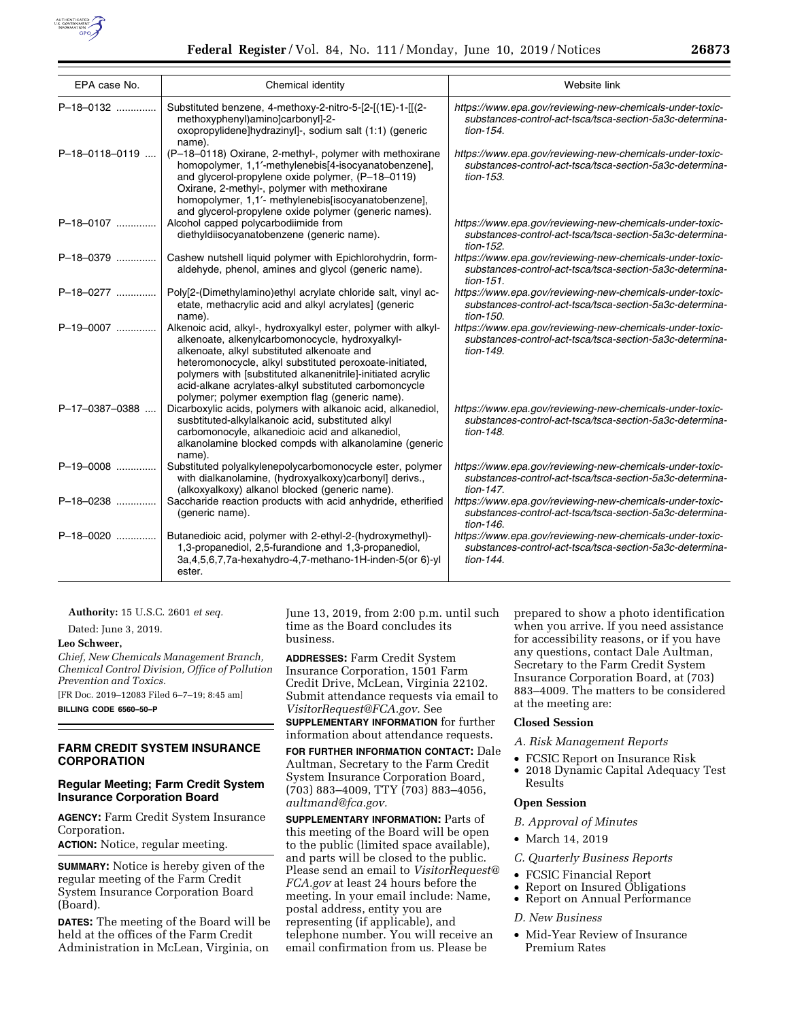

| EPA case No.   | Chemical identity                                                                                                                                                                                                                                                                                                                                                                                     | Website link                                                                                                                         |
|----------------|-------------------------------------------------------------------------------------------------------------------------------------------------------------------------------------------------------------------------------------------------------------------------------------------------------------------------------------------------------------------------------------------------------|--------------------------------------------------------------------------------------------------------------------------------------|
| P-18-0132      | Substituted benzene, 4-methoxy-2-nitro-5-[2-[(1E)-1-[[(2-<br>methoxyphenyl)amino]carbonyl]-2-<br>oxopropylidene]hydrazinyl]-, sodium salt (1:1) (generic<br>name).                                                                                                                                                                                                                                    | https://www.epa.gov/reviewing-new-chemicals-under-toxic-<br>substances-control-act-tsca/tsca-section-5a3c-determina-<br>tion-154.    |
| P-18-0118-0119 | (P-18-0118) Oxirane, 2-methyl-, polymer with methoxirane<br>homopolymer, 1,1'-methylenebis[4-isocyanatobenzene],<br>and glycerol-propylene oxide polymer, (P-18-0119)<br>Oxirane, 2-methyl-, polymer with methoxirane<br>homopolymer, 1,1'- methylenebis[isocyanatobenzene],<br>and givcerol-propylene oxide polymer (generic names).                                                                 | https://www.epa.gov/reviewing-new-chemicals-under-toxic-<br>substances-control-act-tsca/tsca-section-5a3c-determina-<br>tion-153.    |
| P-18-0107      | Alcohol capped polycarbodiimide from<br>diethyldiisocyanatobenzene (generic name).                                                                                                                                                                                                                                                                                                                    | https://www.epa.gov/reviewing-new-chemicals-under-toxic-<br>substances-control-act-tsca/tsca-section-5a3c-determina-<br>tion-152.    |
| P-18-0379      | Cashew nutshell liquid polymer with Epichlorohydrin, form-<br>aldehyde, phenol, amines and glycol (generic name).                                                                                                                                                                                                                                                                                     | https://www.epa.gov/reviewing-new-chemicals-under-toxic-<br>substances-control-act-tsca/tsca-section-5a3c-determina-<br>$tion-151$ . |
| P-18-0277      | Poly[2-(Dimethylamino)ethyl acrylate chloride salt, vinyl ac-<br>etate, methacrylic acid and alkyl acrylates] (generic<br>name).                                                                                                                                                                                                                                                                      | https://www.epa.gov/reviewing-new-chemicals-under-toxic-<br>substances-control-act-tsca/tsca-section-5a3c-determina-<br>tion-150.    |
| P-19-0007      | Alkenoic acid, alkyl-, hydroxyalkyl ester, polymer with alkyl-<br>alkenoate, alkenylcarbomonocycle, hydroxyalkyl-<br>alkenoate, alkyl substituted alkenoate and<br>heteromonocycle, alkyl substituted peroxoate-initiated,<br>polymers with [substituted alkanenitrile]-initiated acrylic<br>acid-alkane acrylates-alkyl substituted carbomoncycle<br>polymer; polymer exemption flag (generic name). | https://www.epa.gov/reviewing-new-chemicals-under-toxic-<br>substances-control-act-tsca/tsca-section-5a3c-determina-<br>tion-149.    |
| P-17-0387-0388 | Dicarboxylic acids, polymers with alkanoic acid, alkanediol,<br>susbtituted-alkylalkanoic acid, substituted alkyl<br>carbomonocyle, alkanedioic acid and alkanediol,<br>alkanolamine blocked compds with alkanolamine (generic<br>name).                                                                                                                                                              | https://www.epa.gov/reviewing-new-chemicals-under-toxic-<br>substances-control-act-tsca/tsca-section-5a3c-determina-<br>tion-148.    |
| P-19-0008      | Substituted polyalkylenepolycarbomonocycle ester, polymer<br>with dialkanolamine, (hydroxyalkoxy)carbonyl] derivs.,<br>(alkoxyalkoxy) alkanol blocked (generic name).                                                                                                                                                                                                                                 | https://www.epa.gov/reviewing-new-chemicals-under-toxic-<br>substances-control-act-tsca/tsca-section-5a3c-determina-<br>tion-147.    |
| P-18-0238      | Saccharide reaction products with acid anhydride, etherified<br>(generic name).                                                                                                                                                                                                                                                                                                                       | https://www.epa.gov/reviewing-new-chemicals-under-toxic-<br>substances-control-act-tsca/tsca-section-5a3c-determina-<br>tion-146.    |
| $P-18-0020$    | Butanedioic acid, polymer with 2-ethyl-2-(hydroxymethyl)-<br>1,3-propanediol, 2,5-furandione and 1,3-propanediol,<br>3a, 4, 5, 6, 7, 7a-hexahydro-4, 7-methano-1H-inden-5 (or 6)-yl<br>ester.                                                                                                                                                                                                         | https://www.epa.gov/reviewing-new-chemicals-under-toxic-<br>substances-control-act-tsca/tsca-section-5a3c-determina-<br>tion-144.    |

**Authority:** 15 U.S.C. 2601 *et seq.* 

Dated: June 3, 2019.

## **Leo Schweer,**

*Chief, New Chemicals Management Branch, Chemical Control Division, Office of Pollution Prevention and Toxics.* 

[FR Doc. 2019–12083 Filed 6–7–19; 8:45 am]

**BILLING CODE 6560–50–P** 

### **FARM CREDIT SYSTEM INSURANCE CORPORATION**

### **Regular Meeting; Farm Credit System Insurance Corporation Board**

**AGENCY:** Farm Credit System Insurance Corporation.

**ACTION:** Notice, regular meeting.

**SUMMARY:** Notice is hereby given of the regular meeting of the Farm Credit System Insurance Corporation Board (Board).

**DATES:** The meeting of the Board will be held at the offices of the Farm Credit Administration in McLean, Virginia, on

June 13, 2019, from 2:00 p.m. until such time as the Board concludes its business.

**ADDRESSES:** Farm Credit System Insurance Corporation, 1501 Farm Credit Drive, McLean, Virginia 22102. Submit attendance requests via email to *[VisitorRequest@FCA.gov.](mailto:VisitorRequest@FCA.gov)* See **SUPPLEMENTARY INFORMATION** for further

information about attendance requests.

**FOR FURTHER INFORMATION CONTACT:** Dale Aultman, Secretary to the Farm Credit System Insurance Corporation Board, (703) 883–4009, TTY (703) 883–4056, *[aultmand@fca.gov.](mailto:aultmand@fca.gov)* 

**SUPPLEMENTARY INFORMATION:** Parts of this meeting of the Board will be open to the public (limited space available), and parts will be closed to the public. Please send an email to *[VisitorRequest@](mailto:VisitorRequest@FCA.gov) [FCA.gov](mailto:VisitorRequest@FCA.gov)* at least 24 hours before the meeting. In your email include: Name, postal address, entity you are representing (if applicable), and telephone number. You will receive an email confirmation from us. Please be

prepared to show a photo identification when you arrive. If you need assistance for accessibility reasons, or if you have any questions, contact Dale Aultman, Secretary to the Farm Credit System Insurance Corporation Board, at (703) 883–4009. The matters to be considered at the meeting are:

#### **Closed Session**

*A. Risk Management Reports* 

• FCSIC Report on Insurance Risk • 2018 Dynamic Capital Adequacy Test Results

### **Open Session**

### *B. Approval of Minutes*

• March 14, 2019

*C. Quarterly Business Reports* 

- FCSIC Financial Report
- Report on Insured Obligations
- Report on Annual Performance

### *D. New Business*

• Mid-Year Review of Insurance Premium Rates